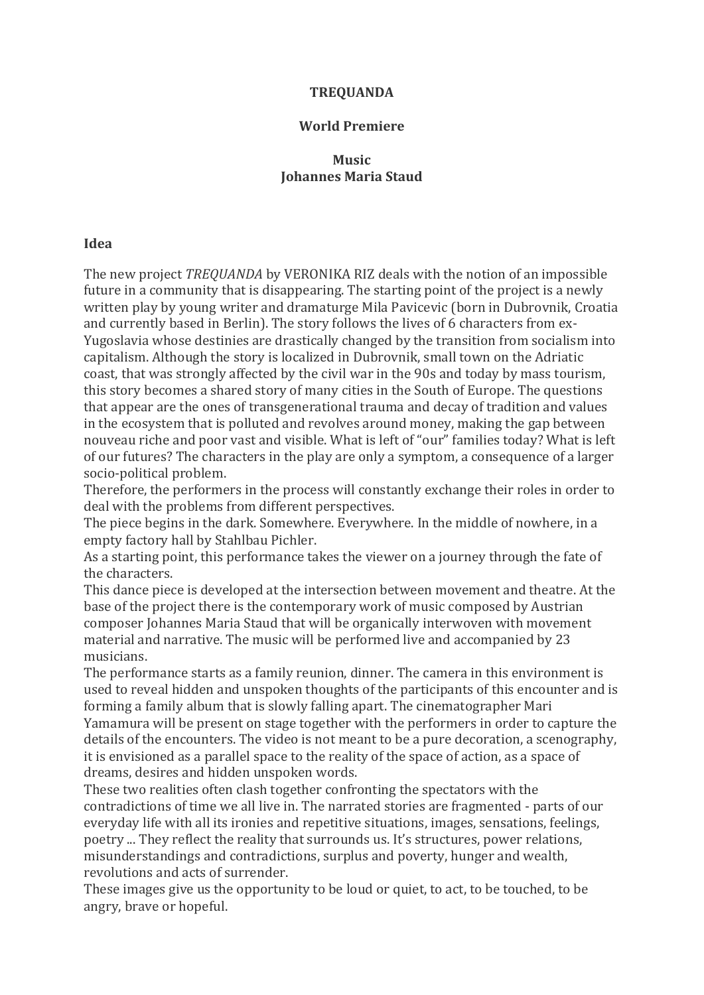## **TREQUANDA**

#### **World Premiere**

# **Music Johannes Maria Staud**

## **Idea**

The new project *TREQUANDA* by VERONIKA RIZ deals with the notion of an impossible future in a community that is disappearing. The starting point of the project is a newly written play by young writer and dramaturge Mila Pavicevic (born in Dubrovnik, Croatia and currently based in Berlin). The story follows the lives of 6 characters from ex-Yugoslavia whose destinies are drastically changed by the transition from socialism into capitalism. Although the story is localized in Dubrovnik, small town on the Adriatic coast, that was strongly affected by the civil war in the 90s and today by mass tourism, this story becomes a shared story of many cities in the South of Europe. The questions that appear are the ones of transgenerational trauma and decay of tradition and values in the ecosystem that is polluted and revolves around money, making the gap between nouveau riche and poor vast and visible. What is left of "our" families today? What is left of our futures? The characters in the play are only a symptom, a consequence of a larger socio-political problem.

Therefore, the performers in the process will constantly exchange their roles in order to deal with the problems from different perspectives.

The piece begins in the dark. Somewhere. Everywhere. In the middle of nowhere, in a empty factory hall by Stahlbau Pichler.

As a starting point, this performance takes the viewer on a journey through the fate of the characters.

This dance piece is developed at the intersection between movement and theatre. At the base of the project there is the contemporary work of music composed by Austrian composer Johannes Maria Staud that will be organically interwoven with movement material and narrative. The music will be performed live and accompanied by 23 musicians.

The performance starts as a family reunion, dinner. The camera in this environment is used to reveal hidden and unspoken thoughts of the participants of this encounter and is forming a family album that is slowly falling apart. The cinematographer Mari Yamamura will be present on stage together with the performers in order to capture the details of the encounters. The video is not meant to be a pure decoration, a scenography, it is envisioned as a parallel space to the reality of the space of action, as a space of dreams, desires and hidden unspoken words.

These two realities often clash together confronting the spectators with the contradictions of time we all live in. The narrated stories are fragmented - parts of our everyday life with all its ironies and repetitive situations, images, sensations, feelings, poetry ... They reflect the reality that surrounds us. It's structures, power relations, misunderstandings and contradictions, surplus and poverty, hunger and wealth, revolutions and acts of surrender.

These images give us the opportunity to be loud or quiet, to act, to be touched, to be angry, brave or hopeful.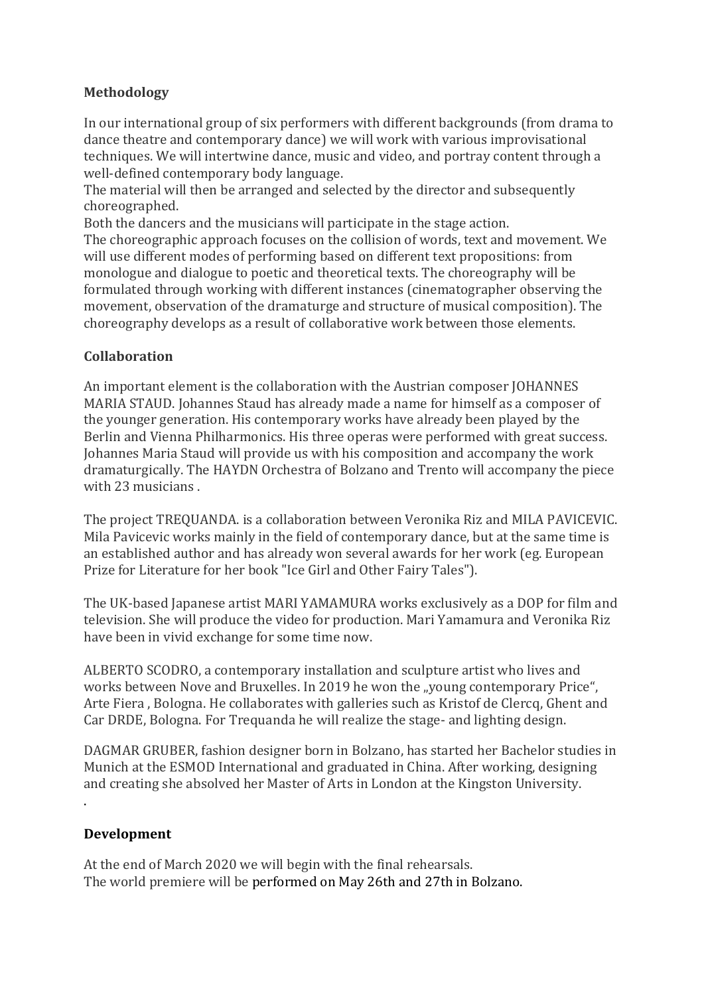# **Methodology**

In our international group of six performers with different backgrounds (from drama to dance theatre and contemporary dance) we will work with various improvisational techniques. We will intertwine dance, music and video, and portray content through a well-defined contemporary body language.

The material will then be arranged and selected by the director and subsequently choreographed.

Both the dancers and the musicians will participate in the stage action. The choreographic approach focuses on the collision of words, text and movement. We will use different modes of performing based on different text propositions: from monologue and dialogue to poetic and theoretical texts. The choreography will be formulated through working with different instances (cinematographer observing the movement, observation of the dramaturge and structure of musical composition). The choreography develops as a result of collaborative work between those elements.

# **Collaboration**

An important element is the collaboration with the Austrian composer JOHANNES MARIA STAUD. Johannes Staud has already made a name for himself as a composer of the younger generation. His contemporary works have already been played by the Berlin and Vienna Philharmonics. His three operas were performed with great success. Johannes Maria Staud will provide us with his composition and accompany the work dramaturgically. The HAYDN Orchestra of Bolzano and Trento will accompany the piece with 23 musicians.

The project TREQUANDA. is a collaboration between Veronika Riz and MILA PAVICEVIC. Mila Pavicevic works mainly in the field of contemporary dance, but at the same time is an established author and has already won several awards for her work (eg. European Prize for Literature for her book "Ice Girl and Other Fairy Tales").

The UK-based Japanese artist MARI YAMAMURA works exclusively as a DOP for film and television. She will produce the video for production. Mari Yamamura and Veronika Riz have been in vivid exchange for some time now.

ALBERTO SCODRO, a contemporary installation and sculpture artist who lives and works between Nove and Bruxelles. In 2019 he won the "young contemporary Price", Arte Fiera, Bologna. He collaborates with galleries such as Kristof de Clercq, Ghent and Car DRDE, Bologna. For Trequanda he will realize the stage- and lighting design.

DAGMAR GRUBER, fashion designer born in Bolzano, has started her Bachelor studies in Munich at the ESMOD International and graduated in China. After working, designing and creating she absolved her Master of Arts in London at the Kingston University. . 

# **Development**

At the end of March 2020 we will begin with the final rehearsals. The world premiere will be performed on May 26th and 27th in Bolzano.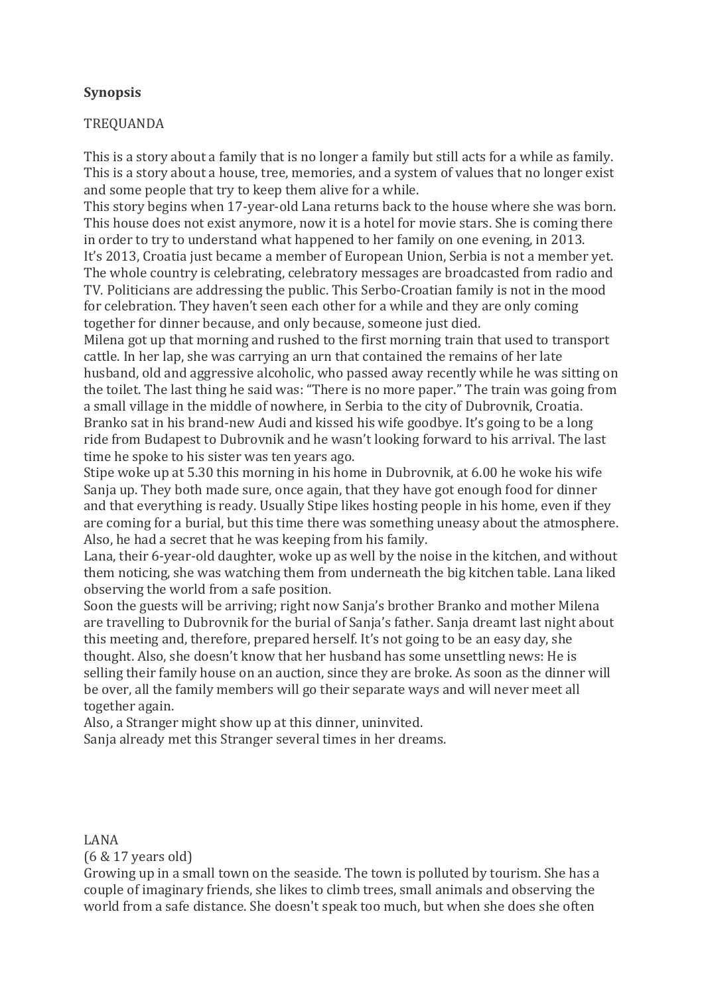# **Synopsis**

# TREQUANDA

This is a story about a family that is no longer a family but still acts for a while as family. This is a story about a house, tree, memories, and a system of values that no longer exist and some people that try to keep them alive for a while.

This story begins when 17-year-old Lana returns back to the house where she was born. This house does not exist anymore, now it is a hotel for movie stars. She is coming there in order to try to understand what happened to her family on one evening, in 2013.

It's 2013, Croatia just became a member of European Union, Serbia is not a member yet. The whole country is celebrating, celebratory messages are broadcasted from radio and TV. Politicians are addressing the public. This Serbo-Croatian family is not in the mood for celebration. They haven't seen each other for a while and they are only coming together for dinner because, and only because, someone just died.

Milena got up that morning and rushed to the first morning train that used to transport cattle. In her lap, she was carrying an urn that contained the remains of her late husband, old and aggressive alcoholic, who passed away recently while he was sitting on the toilet. The last thing he said was: "There is no more paper." The train was going from a small village in the middle of nowhere, in Serbia to the city of Dubrovnik, Croatia. Branko sat in his brand-new Audi and kissed his wife goodbye. It's going to be a long ride from Budapest to Dubrovnik and he wasn't looking forward to his arrival. The last time he spoke to his sister was ten years ago.

Stipe woke up at 5.30 this morning in his home in Dubrovnik, at 6.00 he woke his wife Sanja up. They both made sure, once again, that they have got enough food for dinner and that everything is ready. Usually Stipe likes hosting people in his home, even if they are coming for a burial, but this time there was something uneasy about the atmosphere. Also, he had a secret that he was keeping from his family.

Lana, their 6-year-old daughter, woke up as well by the noise in the kitchen, and without them noticing, she was watching them from underneath the big kitchen table. Lana liked observing the world from a safe position.

Soon the guests will be arriving; right now Sania's brother Branko and mother Milena are travelling to Dubrovnik for the burial of Sanja's father. Sanja dreamt last night about this meeting and, therefore, prepared herself. It's not going to be an easy day, she thought. Also, she doesn't know that her husband has some unsettling news: He is selling their family house on an auction, since they are broke. As soon as the dinner will be over, all the family members will go their separate ways and will never meet all together again.

Also, a Stranger might show up at this dinner, uninvited. Sanja already met this Stranger several times in her dreams.

LANA 

(6 & 17 years old)

Growing up in a small town on the seaside. The town is polluted by tourism. She has a couple of imaginary friends, she likes to climb trees, small animals and observing the world from a safe distance. She doesn't speak too much, but when she does she often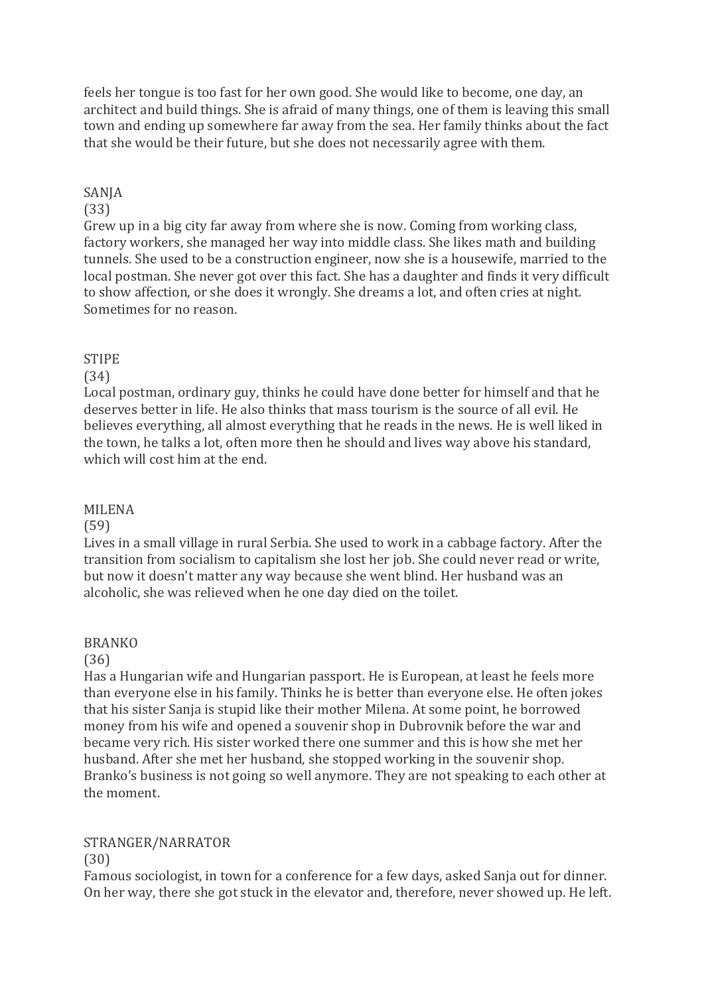feels her tongue is too fast for her own good. She would like to become, one day, an architect and build things. She is afraid of many things, one of them is leaving this small town and ending up somewhere far away from the sea. Her family thinks about the fact that she would be their future, but she does not necessarily agree with them.

# SANJA

# (33)

Grew up in a big city far away from where she is now. Coming from working class, factory workers, she managed her way into middle class. She likes math and building tunnels. She used to be a construction engineer, now she is a housewife, married to the local postman. She never got over this fact. She has a daughter and finds it very difficult to show affection, or she does it wrongly. She dreams a lot, and often cries at night. Sometimes for no reason.

# **STIPE**

## (34)

Local postman, ordinary guy, thinks he could have done better for himself and that he deserves better in life. He also thinks that mass tourism is the source of all evil. He believes everything, all almost everything that he reads in the news. He is well liked in the town, he talks a lot, often more then he should and lives way above his standard, which will cost him at the end.

## MILENA

# (59)

Lives in a small village in rural Serbia. She used to work in a cabbage factory. After the transition from socialism to capitalism she lost her job. She could never read or write, but now it doesn't matter any way because she went blind. Her husband was an alcoholic, she was relieved when he one day died on the toilet.

## BRANKO

## (36)

Has a Hungarian wife and Hungarian passport. He is European, at least he feels more than everyone else in his family. Thinks he is better than everyone else. He often jokes that his sister Sanja is stupid like their mother Milena. At some point, he borrowed money from his wife and opened a souvenir shop in Dubrovnik before the war and became very rich. His sister worked there one summer and this is how she met her husband. After she met her husband, she stopped working in the souvenir shop. Branko's business is not going so well anymore. They are not speaking to each other at the moment.

# STRANGER/NARRATOR

## (30)

Famous sociologist, in town for a conference for a few days, asked Sanja out for dinner. On her way, there she got stuck in the elevator and, therefore, never showed up. He left.